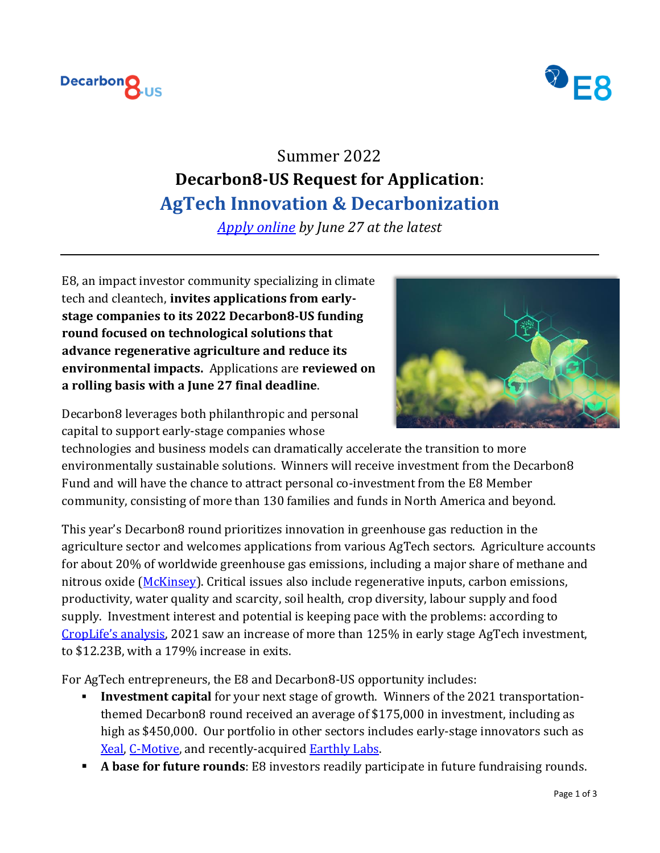



# Summer 2022 **Decarbon8-US Request for Application**: **AgTech Innovation & Decarbonization**

*[Apply online](https://app.dealum.com/#/company/application/new/73990/f8d2ve3f6tn58f5ymcczbdyyzdi3xzbc) by June 27 at the latest*

E8, an impact investor community specializing in climate tech and cleantech, **invites applications from earlystage companies to its 2022 Decarbon8-US funding round focused on technological solutions that advance regenerative agriculture and reduce its environmental impacts.** Applications are **reviewed on a rolling basis with a June 27 final deadline**.



Decarbon8 leverages both philanthropic and personal capital to support early-stage companies whose

technologies and business models can dramatically accelerate the transition to more environmentally sustainable solutions. Winners will receive investment from the Decarbon8 Fund and will have the chance to attract personal co-investment from the E8 Member community, consisting of more than 130 families and funds in North America and beyond.

This year's Decarbon8 round prioritizes innovation in greenhouse gas reduction in the agriculture sector and welcomes applications from various AgTech sectors. Agriculture accounts for about 20% of worldwide greenhouse gas emissions, including a major share of methane and nitrous oxide [\(McKinsey\)](https://www.mckinsey.com/industries/agriculture/our-insights/reducing-agriculture-emissions-through-improved-farming-practices). Critical issues also include regenerative inputs, carbon emissions, productivity, water quality and scarcity, soil health, crop diversity, labour supply and food supply. Investment interest and potential is keeping pace with the problems: according to [CropLife's analysis](https://www.croplife.com/precision/2021-agtech-venture-capital-investment-and-exit-roundup/), 2021 saw an increase of more than 125% in early stage AgTech investment, to \$12.23B, with a 179% increase in exits.

For AgTech entrepreneurs, the E8 and Decarbon8-US opportunity includes:

- **Investment capital** for your next stage of growth. Winners of the 2021 transportationthemed Decarbon8 round received an average of \$175,000 in investment, including as high as \$450,000. Our portfolio in other sectors includes early-stage innovators such as [Xeal,](https://xealenergy.com/) [C-Motive,](https://www.c-motive.com/) and recently-acquired **Earthly Labs.**
- **A base for future rounds**: E8 investors readily participate in future fundraising rounds.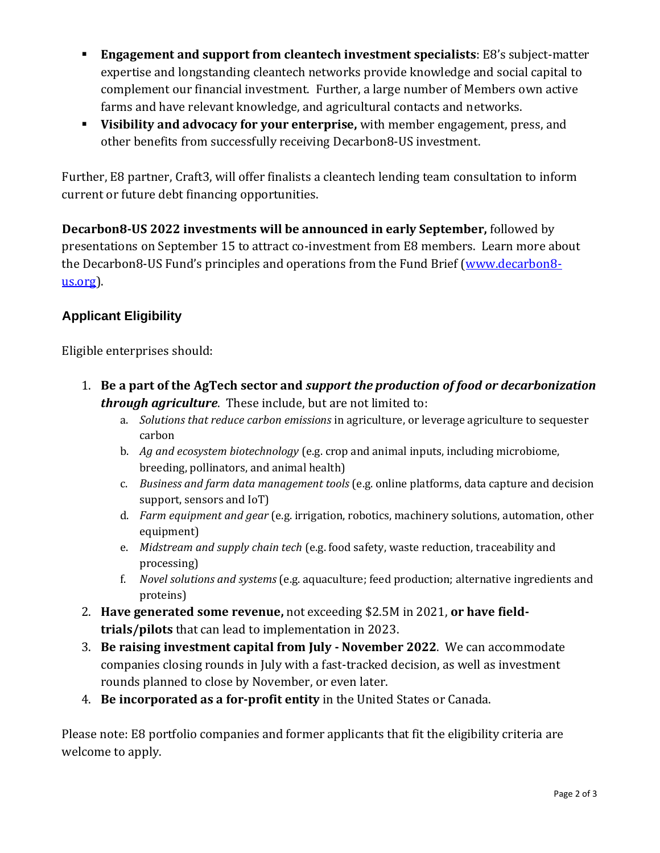- **Engagement and support from cleantech investment specialists**: E8's subject-matter expertise and longstanding cleantech networks provide knowledge and social capital to complement our financial investment. Further, a large number of Members own active farms and have relevant knowledge, and agricultural contacts and networks.
- **Visibility and advocacy for your enterprise,** with member engagement, press, and other benefits from successfully receiving Decarbon8-US investment.

Further, E8 partner, Craft3, will offer finalists a cleantech lending team consultation to inform current or future debt financing opportunities.

**Decarbon8-US 2022 investments will be announced in early September,** followed by presentations on September 15 to attract co-investment from E8 members. Learn more about the Decarbon8-US Fund's principles and operations from the Fund Brief [\(www.decarbon8](http://www.decarbon8-us.org/) [us.org\)](http://www.decarbon8-us.org/).

# **Applicant Eligibility**

Eligible enterprises should:

- 1. **Be a part of the AgTech sector and** *support the production of food or decarbonization through agriculture*. These include, but are not limited to:
	- a. *Solutions that reduce carbon emissions* in agriculture, or leverage agriculture to sequester carbon
	- b. *Ag and ecosystem biotechnology* (e.g. crop and animal inputs, including microbiome, breeding, pollinators, and animal health)
	- c. *Business and farm data management tools* (e.g. online platforms, data capture and decision support, sensors and IoT)
	- d. *Farm equipment and gear* (e.g. irrigation, robotics, machinery solutions, automation, other equipment)
	- e. *Midstream and supply chain tech* (e.g. food safety, waste reduction, traceability and processing)
	- f. *Novel solutions and systems* (e.g. aquaculture; feed production; alternative ingredients and proteins)
- 2. **Have generated some revenue,** not exceeding \$2.5M in 2021, **or have fieldtrials/pilots** that can lead to implementation in 2023.
- 3. **Be raising investment capital from July - November 2022**. We can accommodate companies closing rounds in July with a fast-tracked decision, as well as investment rounds planned to close by November, or even later.
- 4. **Be incorporated as a for-profit entity** in the United States or Canada.

Please note: E8 portfolio companies and former applicants that fit the eligibility criteria are welcome to apply.